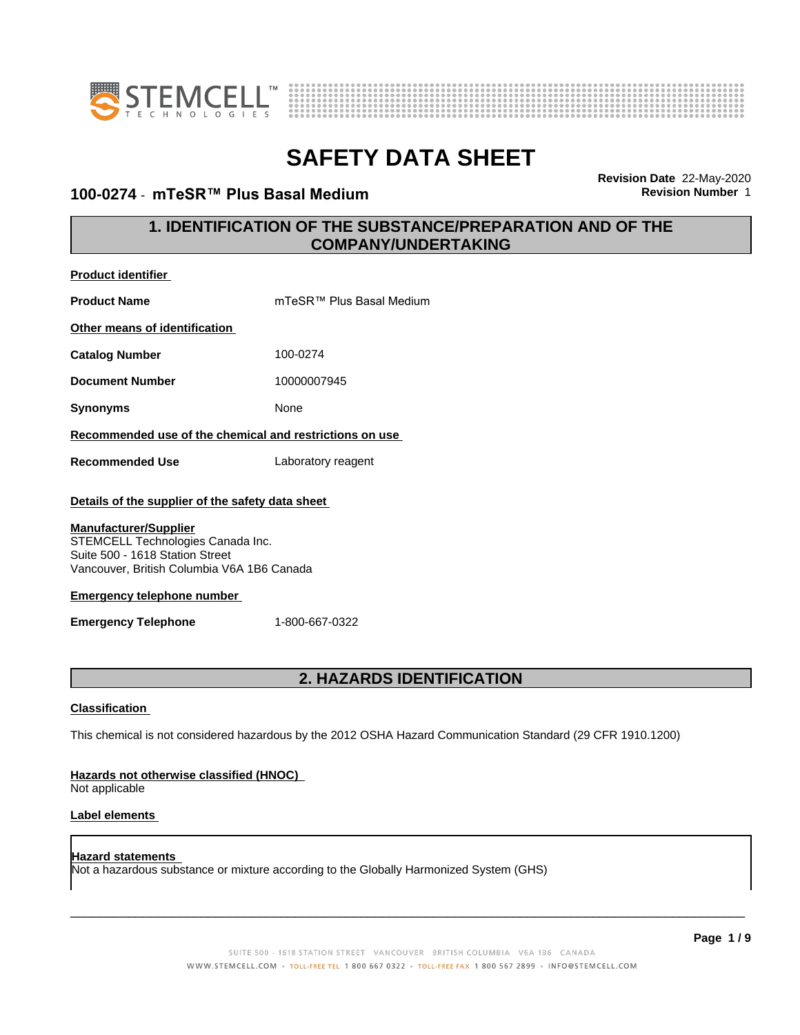



#### **100-0274 · mTeSR™ Plus Basal Medium**

**Revision Date** 22-May-2020

### **1. IDENTIFICATION OF THE SUBSTANCE/PREPARATION AND OF THE COMPANY/UNDERTAKING**

| <b>Product identifier</b>                                                                                                                          |                                                                                                             |  |
|----------------------------------------------------------------------------------------------------------------------------------------------------|-------------------------------------------------------------------------------------------------------------|--|
| <b>Product Name</b>                                                                                                                                | mTeSR™ Plus Basal Medium                                                                                    |  |
| Other means of identification                                                                                                                      |                                                                                                             |  |
| <b>Catalog Number</b>                                                                                                                              | 100-0274                                                                                                    |  |
| <b>Document Number</b>                                                                                                                             | 10000007945                                                                                                 |  |
| <b>Synonyms</b>                                                                                                                                    | None                                                                                                        |  |
| Recommended use of the chemical and restrictions on use                                                                                            |                                                                                                             |  |
| <b>Recommended Use</b>                                                                                                                             | Laboratory reagent                                                                                          |  |
| Details of the supplier of the safety data sheet                                                                                                   |                                                                                                             |  |
| <b>Manufacturer/Supplier</b><br>STEMCELL Technologies Canada Inc.<br>Suite 500 - 1618 Station Street<br>Vancouver, British Columbia V6A 1B6 Canada |                                                                                                             |  |
| <b>Emergency telephone number</b>                                                                                                                  |                                                                                                             |  |
| <b>Emergency Telephone</b>                                                                                                                         | 1-800-667-0322                                                                                              |  |
|                                                                                                                                                    |                                                                                                             |  |
|                                                                                                                                                    | <b>2. HAZARDS IDENTIFICATION</b>                                                                            |  |
| <b>Classification</b>                                                                                                                              |                                                                                                             |  |
|                                                                                                                                                    | This chemical is not considered hazardous by the 2012 OSHA Hazard Communication Standard (29 CFR 1910.1200) |  |

### **Hazards not otherwise classified (HNOC)**

Not applicable

#### **Label elements**

#### **Hazard statements** Not a hazardous substance or mixture according to the Globally Harmonized System (GHS)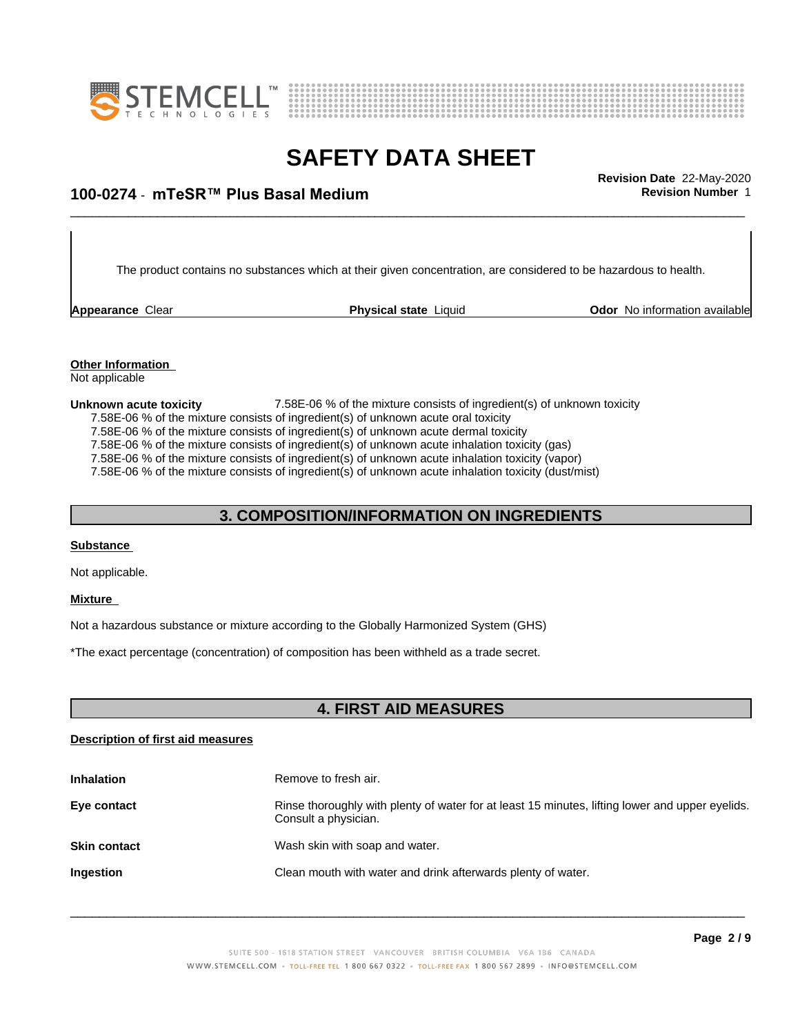



### \_\_\_\_\_\_\_\_\_\_\_\_\_\_\_\_\_\_\_\_\_\_\_\_\_\_\_\_\_\_\_\_\_\_\_\_\_\_\_\_\_\_\_\_\_\_\_\_\_\_\_\_\_\_\_\_\_\_\_\_\_\_\_\_\_\_\_\_\_\_\_\_\_\_\_\_\_\_\_\_\_\_\_\_\_\_\_\_\_\_\_\_\_ **Revision Date** 22-May-2020 **100-0274 ⋅ mTeSR™ Plus Basal Medium Revision Number** 1

The product contains no substances which at their given concentration, are considered to be hazardous to health.

**Appearance Clear <b>Physical state** Liquid

**Odor** No information available

**Other Information** Not applicable

**Unknown acute toxicity 2.58E-06 %** of the mixture consists of ingredient(s) of unknown toxicity 7.58E-06 % of the mixture consists of ingredient(s) of unknown acute oral toxicity

7.58E-06 % of the mixture consists of ingredient(s) of unknown acute dermal toxicity

7.58E-06  $%$  of the mixture consists of ingredient(s) of unknown acute inhalation toxicity (gas)

7.58E-06 % of the mixture consists of ingredient(s) of unknown acute inhalation toxicity (vapor)

7.58E-06 % of the mixture consists of ingredient(s) of unknown acute inhalation toxicity (dust/mist)

### **3. COMPOSITION/INFORMATION ON INGREDIENTS**

#### **Substance**

Not applicable.

#### **Mixture**

Not a hazardous substance or mixture according to the Globally Harmonized System (GHS)

\*The exact percentage (concentration) of composition has been withheld as a trade secret.

#### **4. FIRST AID MEASURES**

#### **Description of first aid measures**

| <b>Inhalation</b>   | Remove to fresh air.                                                                                                    |
|---------------------|-------------------------------------------------------------------------------------------------------------------------|
| Eye contact         | Rinse thoroughly with plenty of water for at least 15 minutes, lifting lower and upper eyelids.<br>Consult a physician. |
| <b>Skin contact</b> | Wash skin with soap and water.                                                                                          |
| <b>Ingestion</b>    | Clean mouth with water and drink afterwards plenty of water.                                                            |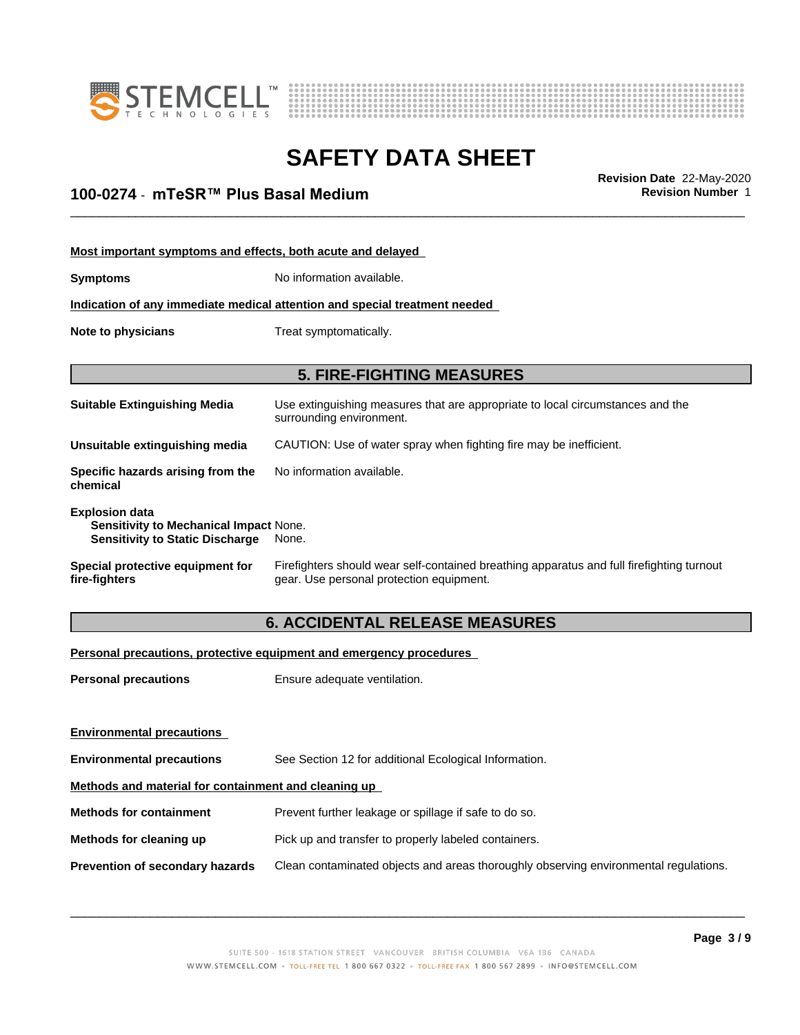



\_\_\_\_\_\_\_\_\_\_\_\_\_\_\_\_\_\_\_\_\_\_\_\_\_\_\_\_\_\_\_\_\_\_\_\_\_\_\_\_\_\_\_\_\_\_\_\_\_\_\_\_\_\_\_\_\_\_\_\_\_\_\_\_\_\_\_\_\_\_\_\_\_\_\_\_\_\_\_\_\_\_\_\_\_\_\_\_\_\_\_\_\_ **Revision Date** 22-May-2020 **100-0274 ⋅ mTeSR™ Plus Basal Medium Revision Number** 1

| Most important symptoms and effects, both acute and delayed                                               |                                                                                                                                       |  |
|-----------------------------------------------------------------------------------------------------------|---------------------------------------------------------------------------------------------------------------------------------------|--|
| <b>Symptoms</b>                                                                                           | No information available.                                                                                                             |  |
|                                                                                                           | Indication of any immediate medical attention and special treatment needed                                                            |  |
| Treat symptomatically.<br>Note to physicians                                                              |                                                                                                                                       |  |
|                                                                                                           | <b>5. FIRE-FIGHTING MEASURES</b>                                                                                                      |  |
|                                                                                                           |                                                                                                                                       |  |
| <b>Suitable Extinguishing Media</b>                                                                       | Use extinguishing measures that are appropriate to local circumstances and the<br>surrounding environment.                            |  |
| Unsuitable extinguishing media                                                                            | CAUTION: Use of water spray when fighting fire may be inefficient.                                                                    |  |
| Specific hazards arising from the<br>chemical                                                             | No information available.                                                                                                             |  |
| <b>Explosion data</b><br>Sensitivity to Mechanical Impact None.<br><b>Sensitivity to Static Discharge</b> | None.                                                                                                                                 |  |
| Special protective equipment for<br>fire-fighters                                                         | Firefighters should wear self-contained breathing apparatus and full firefighting turnout<br>gear. Use personal protection equipment. |  |

### **6. ACCIDENTAL RELEASE MEASURES**

#### **Personal precautions, protective equipment and emergency procedures**

| <b>Personal precautions</b>                          | Ensure adequate ventilation.                                                         |  |
|------------------------------------------------------|--------------------------------------------------------------------------------------|--|
|                                                      |                                                                                      |  |
| <b>Environmental precautions</b>                     |                                                                                      |  |
| <b>Environmental precautions</b>                     | See Section 12 for additional Ecological Information.                                |  |
| Methods and material for containment and cleaning up |                                                                                      |  |
| <b>Methods for containment</b>                       | Prevent further leakage or spillage if safe to do so.                                |  |
| Methods for cleaning up                              | Pick up and transfer to properly labeled containers.                                 |  |
| Prevention of secondary hazards                      | Clean contaminated objects and areas thoroughly observing environmental regulations. |  |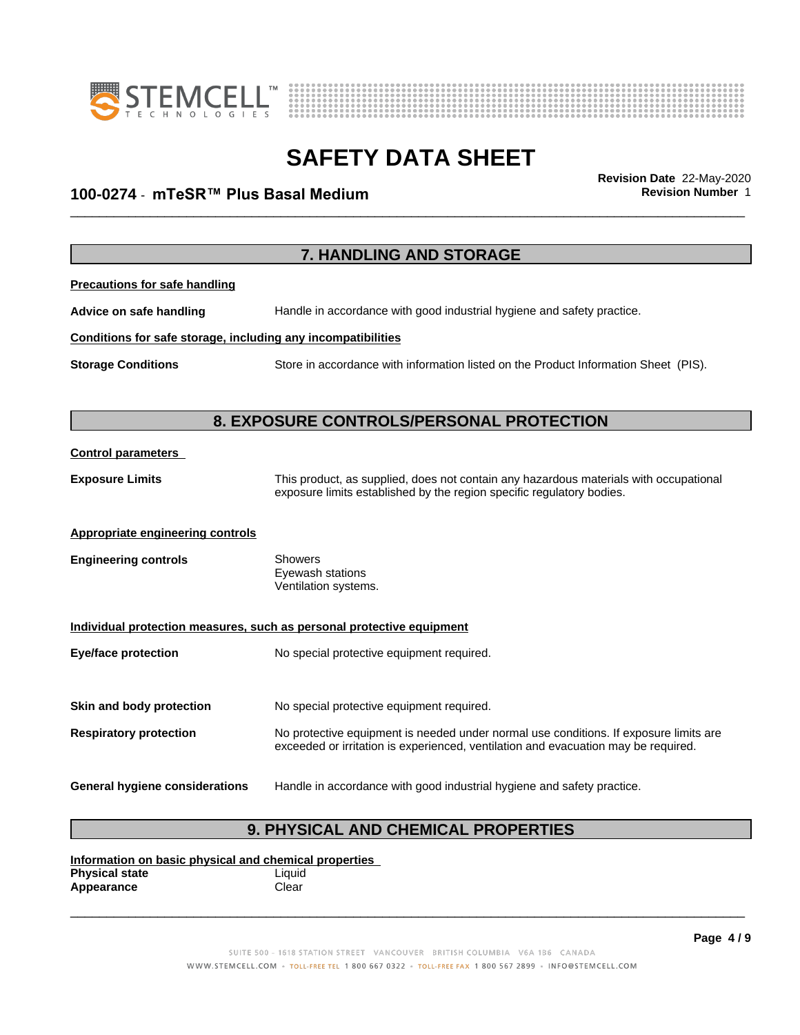



### \_\_\_\_\_\_\_\_\_\_\_\_\_\_\_\_\_\_\_\_\_\_\_\_\_\_\_\_\_\_\_\_\_\_\_\_\_\_\_\_\_\_\_\_\_\_\_\_\_\_\_\_\_\_\_\_\_\_\_\_\_\_\_\_\_\_\_\_\_\_\_\_\_\_\_\_\_\_\_\_\_\_\_\_\_\_\_\_\_\_\_\_\_ **Revision Date** 22-May-2020 **100-0274 ⋅ mTeSR™ Plus Basal Medium Revision Number** 1

|                                                              | 7. HANDLING AND STORAGE                                                                                                                                        |  |
|--------------------------------------------------------------|----------------------------------------------------------------------------------------------------------------------------------------------------------------|--|
| <b>Precautions for safe handling</b>                         |                                                                                                                                                                |  |
| Advice on safe handling                                      | Handle in accordance with good industrial hygiene and safety practice.                                                                                         |  |
| Conditions for safe storage, including any incompatibilities |                                                                                                                                                                |  |
| <b>Storage Conditions</b>                                    | Store in accordance with information listed on the Product Information Sheet (PIS).                                                                            |  |
|                                                              |                                                                                                                                                                |  |
|                                                              | 8. EXPOSURE CONTROLS/PERSONAL PROTECTION                                                                                                                       |  |
| <b>Control parameters</b>                                    |                                                                                                                                                                |  |
| <b>Exposure Limits</b>                                       | This product, as supplied, does not contain any hazardous materials with occupational<br>exposure limits established by the region specific regulatory bodies. |  |
| <b>Appropriate engineering controls</b>                      |                                                                                                                                                                |  |
| <b>Engineering controls</b>                                  | Showers<br>Eyewash stations<br>Ventilation systems.                                                                                                            |  |
|                                                              | Individual protection measures, such as personal protective equipment                                                                                          |  |
| <b>Eye/face protection</b>                                   | No special protective equipment required.                                                                                                                      |  |
| Skin and body protection                                     | No special protective equipment required.                                                                                                                      |  |
|                                                              | No protective equipment is needed under normal use conditions. If exposure limits are                                                                          |  |
| <b>Respiratory protection</b>                                | exceeded or irritation is experienced, ventilation and evacuation may be required.                                                                             |  |
| <b>General hygiene considerations</b>                        | Handle in accordance with good industrial hygiene and safety practice.                                                                                         |  |
|                                                              | <b>9. PHYSICAL AND CHEMICAL PROPERTIES</b>                                                                                                                     |  |

#### **Information on basic physical and chemical properties Physical state** Liquid Appearance **Clear**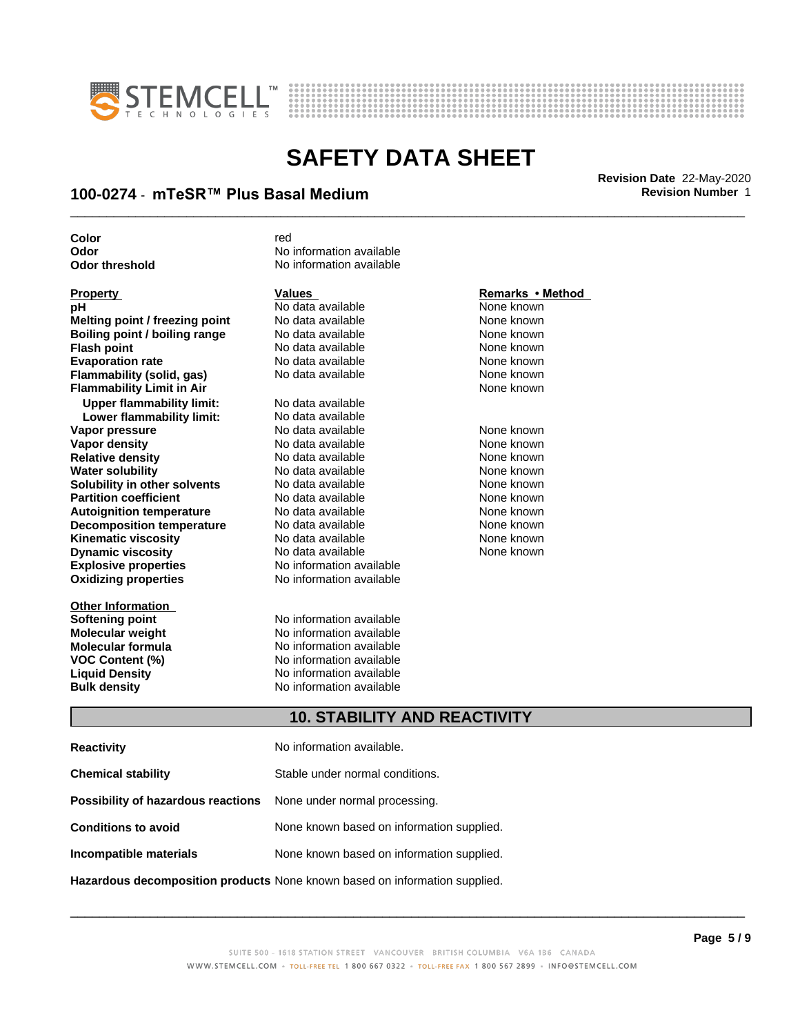



### \_\_\_\_\_\_\_\_\_\_\_\_\_\_\_\_\_\_\_\_\_\_\_\_\_\_\_\_\_\_\_\_\_\_\_\_\_\_\_\_\_\_\_\_\_\_\_\_\_\_\_\_\_\_\_\_\_\_\_\_\_\_\_\_\_\_\_\_\_\_\_\_\_\_\_\_\_\_\_\_\_\_\_\_\_\_\_\_\_\_\_\_\_ **Revision Date** 22-May-2020 **100-0274 ⋅ mTeSR™ Plus Basal Medium Revision Number** 1

| Color                            | red                                 |                  |  |
|----------------------------------|-------------------------------------|------------------|--|
| Odor                             | No information available            |                  |  |
| <b>Odor threshold</b>            | No information available            |                  |  |
| <b>Property</b>                  | <b>Values</b>                       | Remarks • Method |  |
| рH                               | No data available                   | None known       |  |
| Melting point / freezing point   | No data available                   | None known       |  |
| Boiling point / boiling range    | No data available                   | None known       |  |
| <b>Flash point</b>               | No data available                   | None known       |  |
| <b>Evaporation rate</b>          | No data available                   | None known       |  |
| Flammability (solid, gas)        | No data available                   | None known       |  |
| <b>Flammability Limit in Air</b> |                                     | None known       |  |
| <b>Upper flammability limit:</b> | No data available                   |                  |  |
| Lower flammability limit:        | No data available                   |                  |  |
| Vapor pressure                   | No data available                   | None known       |  |
| Vapor density                    | No data available                   | None known       |  |
| <b>Relative density</b>          | No data available                   | None known       |  |
| <b>Water solubility</b>          | No data available                   | None known       |  |
| Solubility in other solvents     | No data available                   | None known       |  |
| <b>Partition coefficient</b>     | No data available                   | None known       |  |
| <b>Autoignition temperature</b>  | No data available                   | None known       |  |
| <b>Decomposition temperature</b> | No data available                   | None known       |  |
| <b>Kinematic viscosity</b>       | No data available                   | None known       |  |
| <b>Dynamic viscosity</b>         | No data available                   | None known       |  |
| <b>Explosive properties</b>      | No information available            |                  |  |
| <b>Oxidizing properties</b>      | No information available            |                  |  |
| <b>Other Information</b>         |                                     |                  |  |
| <b>Softening point</b>           | No information available            |                  |  |
| <b>Molecular weight</b>          | No information available            |                  |  |
| Molecular formula                | No information available            |                  |  |
| <b>VOC Content (%)</b>           | No information available            |                  |  |
| <b>Liquid Density</b>            | No information available            |                  |  |
| <b>Bulk density</b>              | No information available            |                  |  |
|                                  | <b>10. STABILITY AND REACTIVITY</b> |                  |  |
| <b>Reactivity</b>                | No information available.           |                  |  |

| <b>Chemical stability</b>                                               | Stable under normal conditions.           |
|-------------------------------------------------------------------------|-------------------------------------------|
| <b>Possibility of hazardous reactions</b> None under normal processing. |                                           |
| <b>Conditions to avoid</b>                                              | None known based on information supplied. |
| Incompatible materials                                                  | None known based on information supplied. |
|                                                                         |                                           |

**Hazardous decomposition products** None known based on information supplied.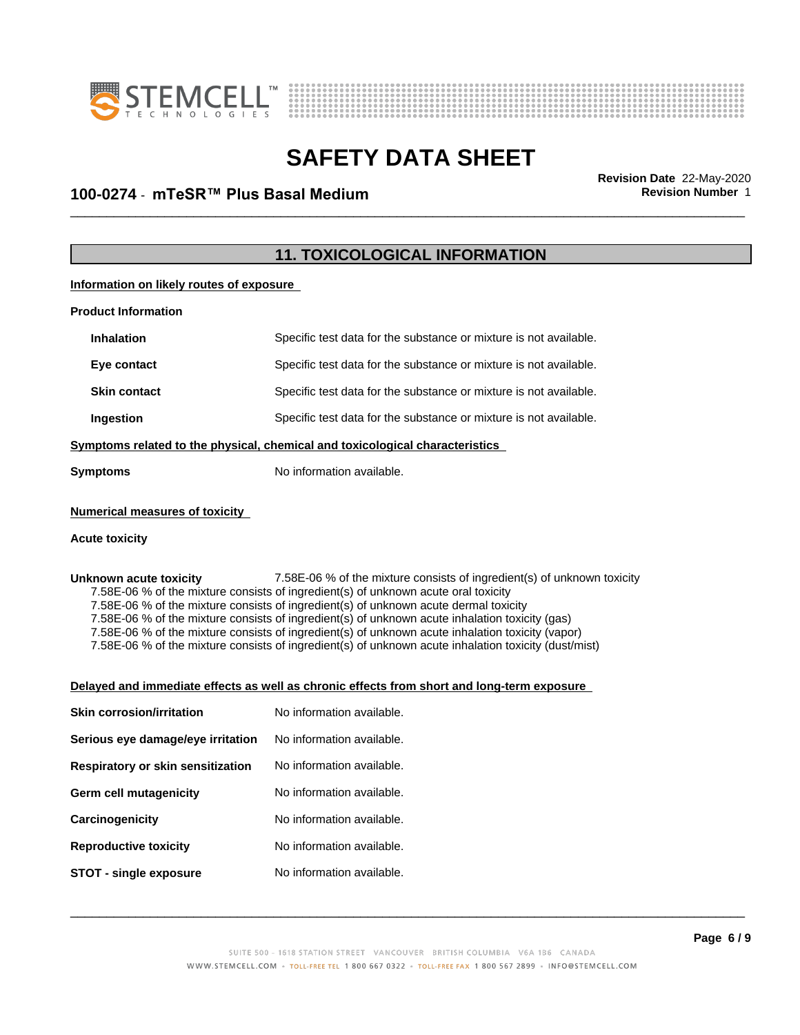



### \_\_\_\_\_\_\_\_\_\_\_\_\_\_\_\_\_\_\_\_\_\_\_\_\_\_\_\_\_\_\_\_\_\_\_\_\_\_\_\_\_\_\_\_\_\_\_\_\_\_\_\_\_\_\_\_\_\_\_\_\_\_\_\_\_\_\_\_\_\_\_\_\_\_\_\_\_\_\_\_\_\_\_\_\_\_\_\_\_\_\_\_\_ **Revision Date** 22-May-2020 **100-0274 ⋅ mTeSR™ Plus Basal Medium Revision Number** 1

### **11. TOXICOLOGICAL INFORMATION**

**Information on likely routes of exposure**

| <b>Product Information</b>                                                   |                                                                   |  |
|------------------------------------------------------------------------------|-------------------------------------------------------------------|--|
| <b>Inhalation</b>                                                            | Specific test data for the substance or mixture is not available. |  |
| Eye contact                                                                  | Specific test data for the substance or mixture is not available. |  |
| <b>Skin contact</b>                                                          | Specific test data for the substance or mixture is not available. |  |
| <b>Ingestion</b>                                                             | Specific test data for the substance or mixture is not available. |  |
| Symptoms related to the physical, chemical and toxicological characteristics |                                                                   |  |
| <b>Symptoms</b>                                                              | No information available.                                         |  |
|                                                                              |                                                                   |  |

#### **Numerical measures of toxicity**

#### **Acute toxicity**

#### **Unknown acute toxicity** 7.58E-06 % of the mixture consists of ingredient(s) of unknown toxicity 7.58E-06 % of the mixture consists of ingredient(s) of unknown acute oral toxicity

7.58E-06 % of the mixture consists of ingredient(s) of unknown acute dermal toxicity

7.58E-06 % of the mixture consists of ingredient(s) of unknown acute inhalation toxicity (gas)

7.58E-06 % of the mixture consists of ingredient(s) of unknown acute inhalation toxicity (vapor)

7.58E-06 % of the mixture consists of ingredient(s) of unknown acute inhalation toxicity (dust/mist)

#### **Delayed and immediate effects as well as chronic effects from short and long-term exposure**

| <b>Skin corrosion/irritation</b>  | No information available. |
|-----------------------------------|---------------------------|
| Serious eye damage/eye irritation | No information available. |
| Respiratory or skin sensitization | No information available. |
| Germ cell mutagenicity            | No information available. |
| Carcinogenicity                   | No information available. |
| <b>Reproductive toxicity</b>      | No information available. |
| STOT - single exposure            | No information available. |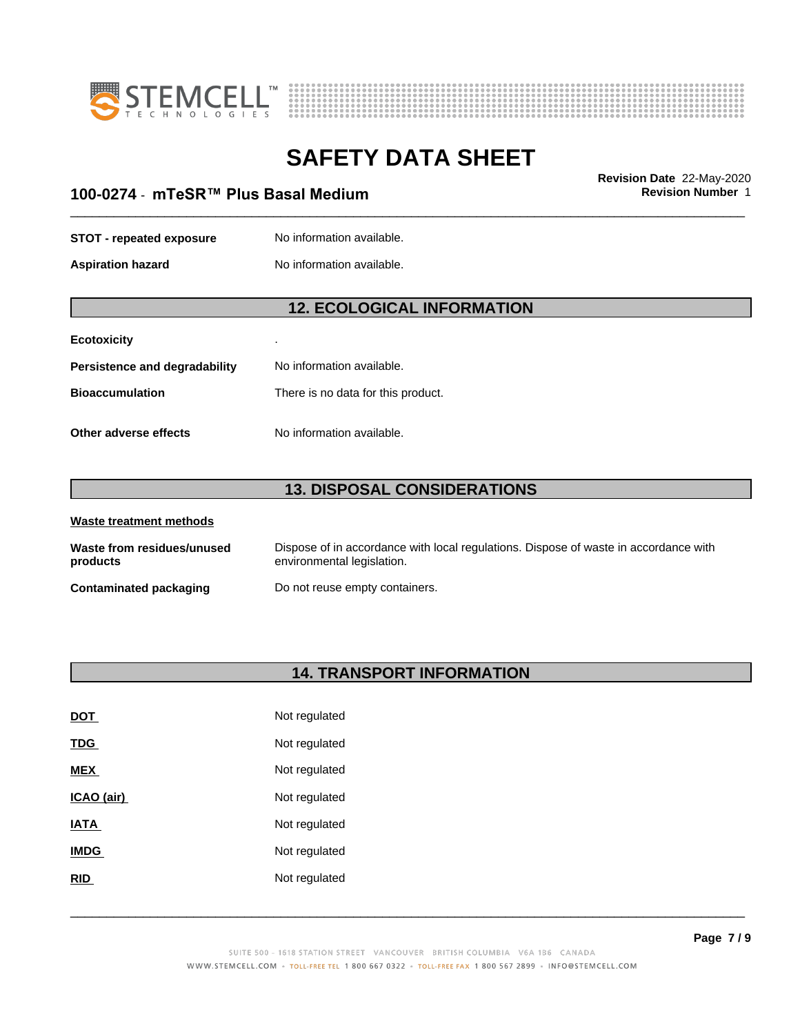



### \_\_\_\_\_\_\_\_\_\_\_\_\_\_\_\_\_\_\_\_\_\_\_\_\_\_\_\_\_\_\_\_\_\_\_\_\_\_\_\_\_\_\_\_\_\_\_\_\_\_\_\_\_\_\_\_\_\_\_\_\_\_\_\_\_\_\_\_\_\_\_\_\_\_\_\_\_\_\_\_\_\_\_\_\_\_\_\_\_\_\_\_\_ **Revision Date** 22-May-2020 **100-0274 ⋅ mTeSR™ Plus Basal Medium Revision Number** 1

#### **STOT** - **repeated exposure** No information available.

**Aspiration hazard** No information available.

### **12. ECOLOGICAL INFORMATION**

#### **Ecotoxicity** .

| Persistence and degradability | No information available.          |
|-------------------------------|------------------------------------|
| Bioaccumulation               | There is no data for this product. |
|                               |                                    |

**Other adverse effects** No information available.

## **13. DISPOSAL CONSIDERATIONS**

| Waste treatment methods                |                                                                                                                    |
|----------------------------------------|--------------------------------------------------------------------------------------------------------------------|
| Waste from residues/unused<br>products | Dispose of in accordance with local regulations. Dispose of waste in accordance with<br>environmental legislation. |
| <b>Contaminated packaging</b>          | Do not reuse empty containers.                                                                                     |

### **14. TRANSPORT INFORMATION**

| <u>DOT</u>  | Not regulated |
|-------------|---------------|
| <u>TDG</u>  | Not regulated |
| <b>MEX</b>  | Not regulated |
| ICAO (air)  | Not regulated |
| IATA        | Not regulated |
| <b>IMDG</b> | Not regulated |
| <b>RID</b>  | Not regulated |
|             |               |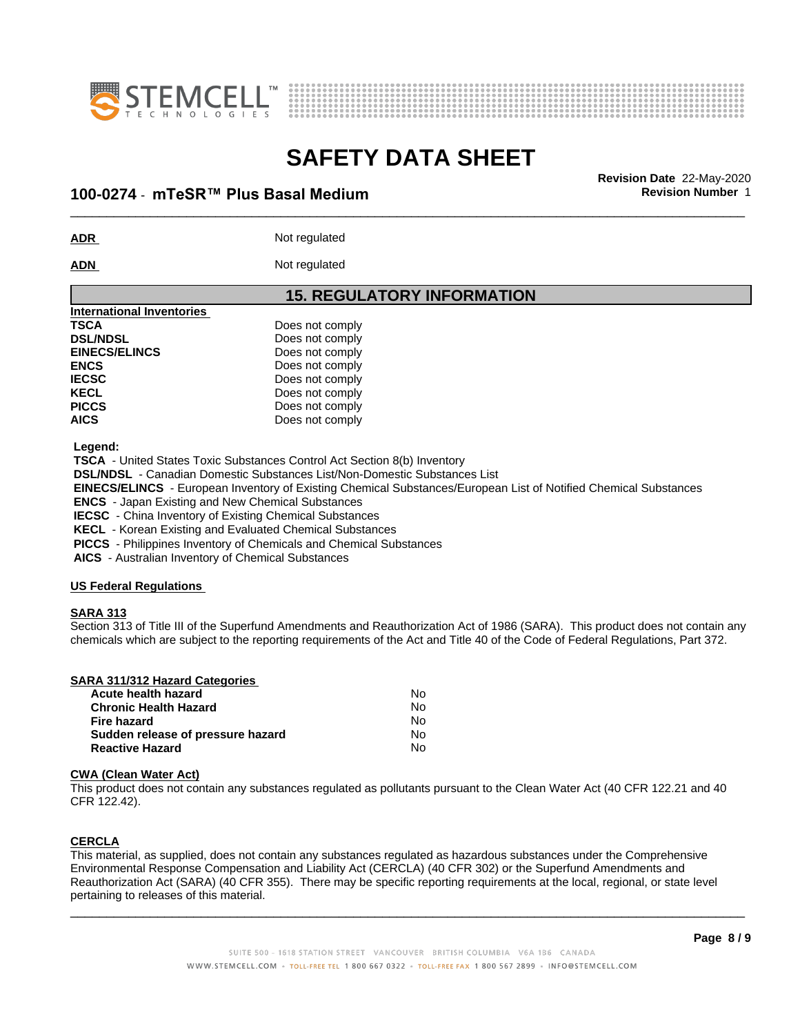



### \_\_\_\_\_\_\_\_\_\_\_\_\_\_\_\_\_\_\_\_\_\_\_\_\_\_\_\_\_\_\_\_\_\_\_\_\_\_\_\_\_\_\_\_\_\_\_\_\_\_\_\_\_\_\_\_\_\_\_\_\_\_\_\_\_\_\_\_\_\_\_\_\_\_\_\_\_\_\_\_\_\_\_\_\_\_\_\_\_\_\_\_\_ **Revision Date** 22-May-2020 **100-0274 ⋅ mTeSR™ Plus Basal Medium Revision Number** 1

**ADR** Not regulated

ADN Not regulated

#### **15. REGULATORY INFORMATION**

| <b>International Inventories</b> |                 |  |
|----------------------------------|-----------------|--|
| <b>TSCA</b>                      | Does not comply |  |
| <b>DSL/NDSL</b>                  | Does not comply |  |
| <b>EINECS/ELINCS</b>             | Does not comply |  |
| <b>ENCS</b>                      | Does not comply |  |
| <b>IECSC</b>                     | Does not comply |  |
| <b>KECL</b>                      | Does not comply |  |
| <b>PICCS</b>                     | Does not comply |  |
| <b>AICS</b>                      | Does not comply |  |
|                                  |                 |  |

 **Legend:**

 **TSCA** - United States Toxic Substances Control Act Section 8(b) Inventory

 **DSL/NDSL** - Canadian Domestic Substances List/Non-Domestic Substances List

 **EINECS/ELINCS** - European Inventory of Existing Chemical Substances/European List of Notified Chemical Substances

 **ENCS** - Japan Existing and New Chemical Substances

 **IECSC** - China Inventory of Existing Chemical Substances

 **KECL** - Korean Existing and Evaluated Chemical Substances

 **PICCS** - Philippines Inventory of Chemicals and Chemical Substances

 **AICS** - Australian Inventory of Chemical Substances

#### **US Federal Regulations**

#### **SARA 313**

Section 313 of Title III of the Superfund Amendments and Reauthorization Act of 1986 (SARA). This product does not contain any chemicals which are subject to the reporting requirements of the Act and Title 40 of the Code of Federal Regulations, Part 372.

| <b>SARA 311/312 Hazard Categories</b> |  |  |  |  |
|---------------------------------------|--|--|--|--|
|                                       |  |  |  |  |

| Acute health hazard               | No |
|-----------------------------------|----|
| <b>Chronic Health Hazard</b>      | N٥ |
| Fire hazard                       | N٥ |
| Sudden release of pressure hazard | No |
| <b>Reactive Hazard</b>            | N٥ |

#### **CWA** (Clean Water Act)

This product does not contain any substances regulated as pollutants pursuant to the Clean Water Act (40 CFR 122.21 and 40 CFR 122.42).

#### **CERCLA**

This material, as supplied, does not contain any substances regulated as hazardous substances under the Comprehensive Environmental Response Compensation and Liability Act (CERCLA) (40 CFR 302) or the Superfund Amendments and Reauthorization Act (SARA) (40 CFR 355). There may be specific reporting requirements at the local, regional, or state level pertaining to releases of this material.